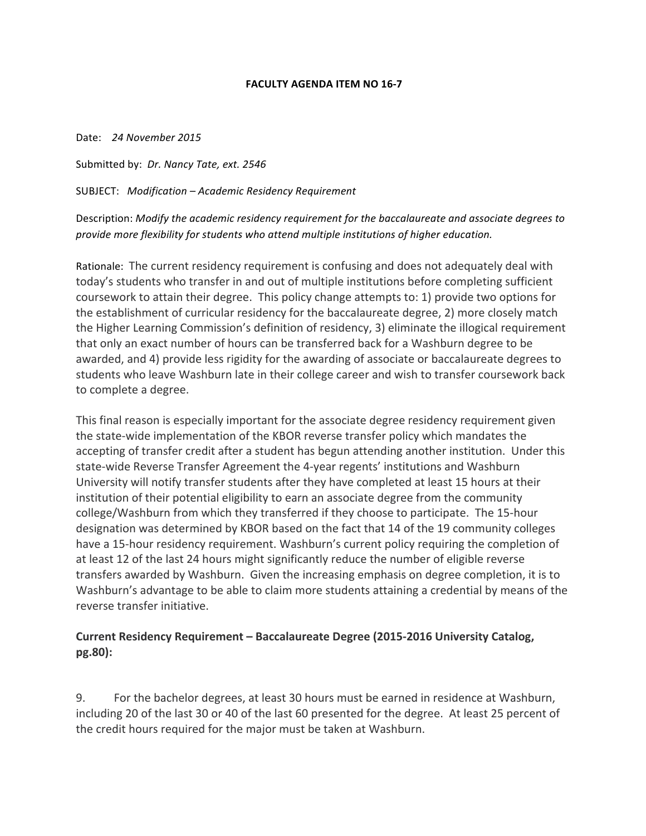## **FACULTY AGENDA ITEM NO 16-7**

Date: *24 November 2015*

Submitted by: *Dr. Nancy Tate, ext.* 2546

SUBJECT: *Modification – Academic Residency Requirement*

Description: *Modify* the academic residency requirement for the baccalaureate and associate degrees to provide more flexibility for students who attend multiple institutions of higher education.

Rationale: The current residency requirement is confusing and does not adequately deal with today's students who transfer in and out of multiple institutions before completing sufficient coursework to attain their degree. This policy change attempts to: 1) provide two options for the establishment of curricular residency for the baccalaureate degree, 2) more closely match the Higher Learning Commission's definition of residency, 3) eliminate the illogical requirement that only an exact number of hours can be transferred back for a Washburn degree to be awarded, and 4) provide less rigidity for the awarding of associate or baccalaureate degrees to students who leave Washburn late in their college career and wish to transfer coursework back to complete a degree.

This final reason is especially important for the associate degree residency requirement given the state-wide implementation of the KBOR reverse transfer policy which mandates the accepting of transfer credit after a student has begun attending another institution. Under this state-wide Reverse Transfer Agreement the 4-year regents' institutions and Washburn University will notify transfer students after they have completed at least 15 hours at their institution of their potential eligibility to earn an associate degree from the community college/Washburn from which they transferred if they choose to participate. The 15-hour designation was determined by KBOR based on the fact that 14 of the 19 community colleges have a 15-hour residency requirement. Washburn's current policy requiring the completion of at least 12 of the last 24 hours might significantly reduce the number of eligible reverse transfers awarded by Washburn. Given the increasing emphasis on degree completion, it is to Washburn's advantage to be able to claim more students attaining a credential by means of the reverse transfer initiative.

## **Current Residency Requirement - Baccalaureate Degree (2015-2016 University Catalog, pg.80):**

9. For the bachelor degrees, at least 30 hours must be earned in residence at Washburn, including 20 of the last 30 or 40 of the last 60 presented for the degree. At least 25 percent of the credit hours required for the major must be taken at Washburn.